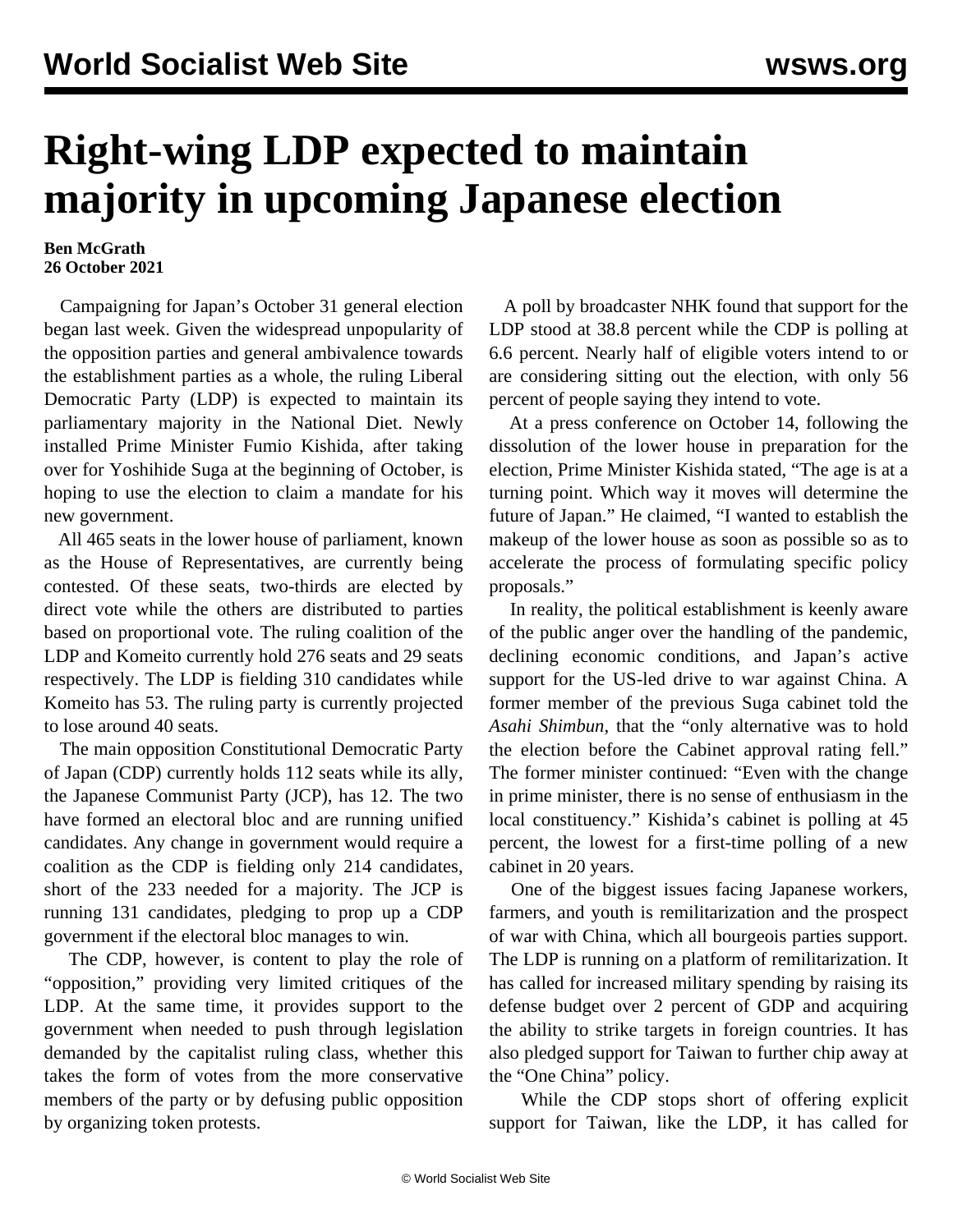## **Right-wing LDP expected to maintain majority in upcoming Japanese election**

## **Ben McGrath 26 October 2021**

 Campaigning for Japan's October 31 general election began last week. Given the widespread unpopularity of the opposition parties and general ambivalence towards the establishment parties as a whole, the ruling Liberal Democratic Party (LDP) is expected to maintain its parliamentary majority in the National Diet. Newly installed Prime Minister Fumio Kishida, after taking over for Yoshihide Suga at the beginning of October, is hoping to use the election to claim a mandate for his new government.

 All 465 seats in the lower house of parliament, known as the House of Representatives, are currently being contested. Of these seats, two-thirds are elected by direct vote while the others are distributed to parties based on proportional vote. The ruling coalition of the LDP and Komeito currently hold 276 seats and 29 seats respectively. The LDP is fielding 310 candidates while Komeito has 53. The ruling party is currently projected to lose around 40 seats.

 The main opposition Constitutional Democratic Party of Japan (CDP) currently holds 112 seats while its ally, the Japanese Communist Party (JCP), has 12. The two have formed an electoral bloc and are running unified candidates. Any change in government would require a coalition as the CDP is fielding only 214 candidates, short of the 233 needed for a majority. The JCP is running 131 candidates, pledging to prop up a CDP government if the electoral bloc manages to win.

 The CDP, however, is content to play the role of "opposition," providing very limited critiques of the LDP. At the same time, it provides support to the government when needed to push through legislation demanded by the capitalist ruling class, whether this takes the form of votes from the more conservative members of the party or by defusing public opposition by organizing token protests.

 A poll by broadcaster NHK found that support for the LDP stood at 38.8 percent while the CDP is polling at 6.6 percent. Nearly half of eligible voters intend to or are considering sitting out the election, with only 56 percent of people saying they intend to vote.

 At a press conference on October 14, following the dissolution of the lower house in preparation for the election, Prime Minister Kishida stated, "The age is at a turning point. Which way it moves will determine the future of Japan." He claimed, "I wanted to establish the makeup of the lower house as soon as possible so as to accelerate the process of formulating specific policy proposals."

 In reality, the political establishment is keenly aware of the public anger over the handling of the pandemic, declining economic conditions, and Japan's active support for the US-led drive to war against China. A former member of the previous Suga cabinet told the *Asahi Shimbun*, that the "only alternative was to hold the election before the Cabinet approval rating fell." The former minister continued: "Even with the change in prime minister, there is no sense of enthusiasm in the local constituency." Kishida's cabinet is polling at 45 percent, the lowest for a first-time polling of a new cabinet in 20 years.

 One of the biggest issues facing Japanese workers, farmers, and youth is remilitarization and the prospect of war with China, which all bourgeois parties support. The LDP is running on a platform of remilitarization. It has called for increased military spending by raising its defense budget over 2 percent of GDP and acquiring the ability to strike targets in foreign countries. It has also pledged support for Taiwan to further chip away at the "One China" policy.

 While the CDP stops short of offering explicit support for Taiwan, like the LDP, it has called for